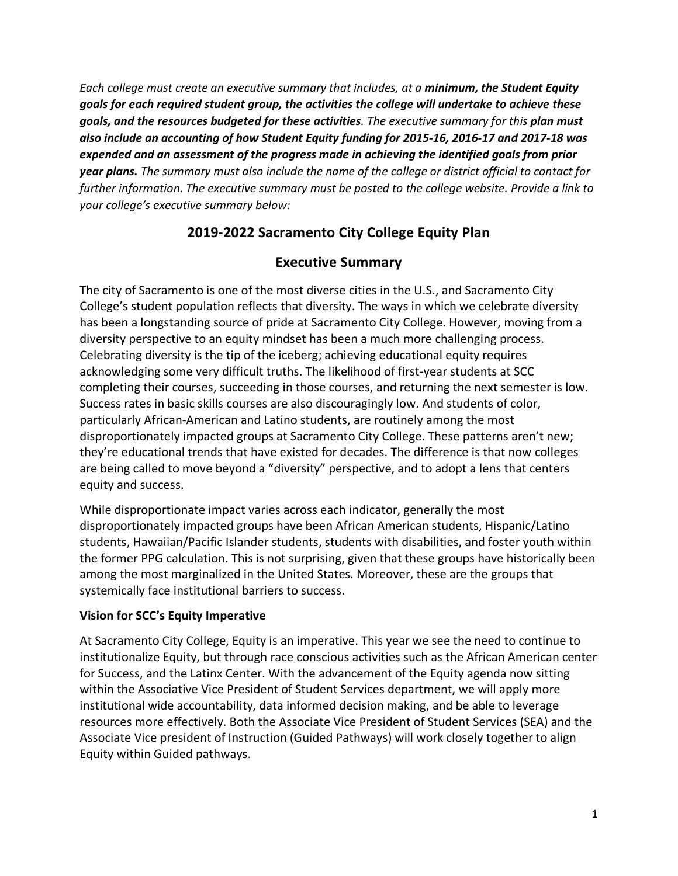*Each college must create an executive summary that includes, at a minimum, the Student Equity goals for each required student group, the activities the college will undertake to achieve these goals, and the resources budgeted for these activities. The executive summary for this plan must also include an accounting of how Student Equity funding for 2015-16, 2016-17 and 2017-18 was expended and an assessment of the progress made in achieving the identified goals from prior year plans. The summary must also include the name of the college or district official to contact for further information. The executive summary must be posted to the college website. Provide a link to your college's executive summary below:*

# **2019-2022 Sacramento City College Equity Plan**

# **Executive Summary**

The city of Sacramento is one of the most diverse cities in the U.S., and Sacramento City College's student population reflects that diversity. The ways in which we celebrate diversity has been a longstanding source of pride at Sacramento City College. However, moving from a diversity perspective to an equity mindset has been a much more challenging process. Celebrating diversity is the tip of the iceberg; achieving educational equity requires acknowledging some very difficult truths. The likelihood of first-year students at SCC completing their courses, succeeding in those courses, and returning the next semester is low. Success rates in basic skills courses are also discouragingly low. And students of color, particularly African-American and Latino students, are routinely among the most disproportionately impacted groups at Sacramento City College. These patterns aren't new; they're educational trends that have existed for decades. The difference is that now colleges are being called to move beyond a "diversity" perspective, and to adopt a lens that centers equity and success.

While disproportionate impact varies across each indicator, generally the most disproportionately impacted groups have been African American students, Hispanic/Latino students, Hawaiian/Pacific Islander students, students with disabilities, and foster youth within the former PPG calculation. This is not surprising, given that these groups have historically been among the most marginalized in the United States. Moreover, these are the groups that systemically face institutional barriers to success.

## **Vision for SCC's Equity Imperative**

At Sacramento City College, Equity is an imperative. This year we see the need to continue to institutionalize Equity, but through race conscious activities such as the African American center for Success, and the Latinx Center. With the advancement of the Equity agenda now sitting within the Associative Vice President of Student Services department, we will apply more institutional wide accountability, data informed decision making, and be able to leverage resources more effectively. Both the Associate Vice President of Student Services (SEA) and the Associate Vice president of Instruction (Guided Pathways) will work closely together to align Equity within Guided pathways.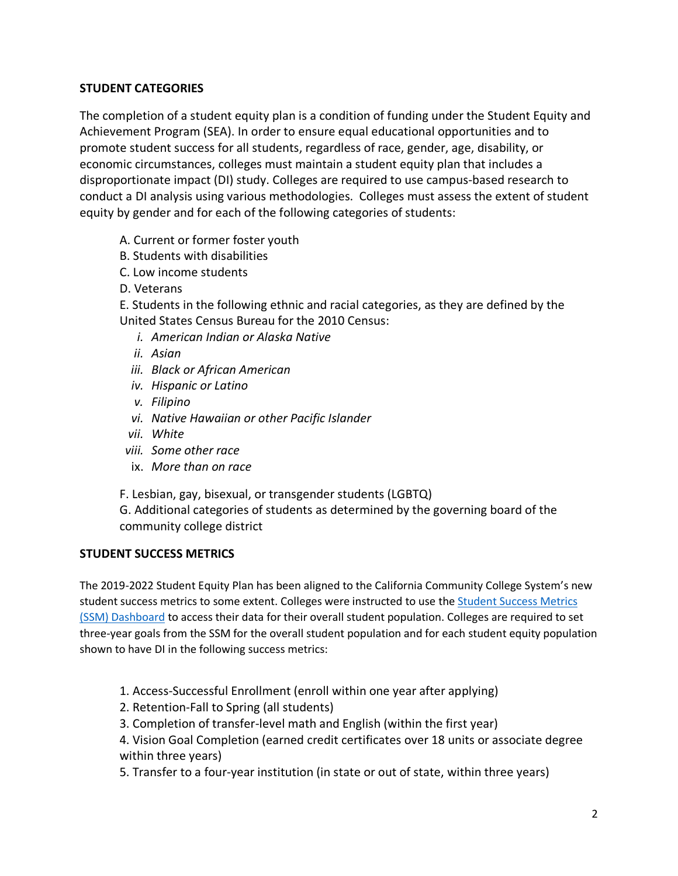## **STUDENT CATEGORIES**

The completion of a student equity plan is a condition of funding under the Student Equity and Achievement Program (SEA). In order to ensure equal educational opportunities and to promote student success for all students, regardless of race, gender, age, disability, or economic circumstances, colleges must maintain a student equity plan that includes a disproportionate impact (DI) study. Colleges are required to use campus-based research to conduct a DI analysis using various methodologies. Colleges must assess the extent of student equity by gender and for each of the following categories of students:

- A. Current or former foster youth
- B. Students with disabilities
- C. Low income students
- D. Veterans

E. Students in the following ethnic and racial categories, as they are defined by the United States Census Bureau for the 2010 Census:

- *i. American Indian or Alaska Native*
- *ii. Asian*
- *iii. Black or African American*
- *iv. Hispanic or Latino*
- *v. Filipino*
- *vi. Native Hawaiian or other Pacific Islander*
- *vii. White*
- *viii. Some other race*
- ix. *More than on race*

F. Lesbian, gay, bisexual, or transgender students (LGBTQ)

G. Additional categories of students as determined by the governing board of the community college district

## **STUDENT SUCCESS METRICS**

The 2019-2022 Student Equity Plan has been aligned to the California Community College System's new student success metrics to some extent. Colleges were instructed to use the Student Success Metrics (SSM) Dashboard to access their data for their overall student population. Colleges are required to set three-year goals from the SSM for the overall student population and for each student equity population shown to have DI in the following success metrics:

- 1. Access-Successful Enrollment (enroll within one year after applying)
- 2. Retention-Fall to Spring (all students)
- 3. Completion of transfer-level math and English (within the first year)

4. Vision Goal Completion (earned credit certificates over 18 units or associate degree within three years)

5. Transfer to a four-year institution (in state or out of state, within three years)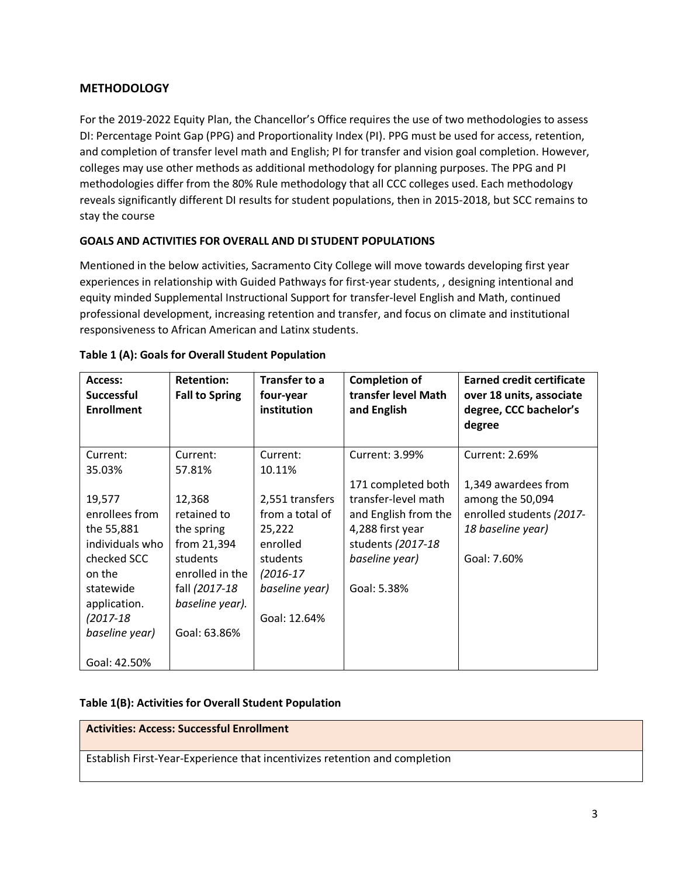## **METHODOLOGY**

For the 2019-2022 Equity Plan, the Chancellor's Office requires the use of two methodologies to assess DI: Percentage Point Gap (PPG) and Proportionality Index (PI). PPG must be used for access, retention, and completion of transfer level math and English; PI for transfer and vision goal completion. However, colleges may use other methods as additional methodology for planning purposes. The PPG and PI methodologies differ from the 80% Rule methodology that all CCC colleges used. Each methodology reveals significantly different DI results for student populations, then in 2015-2018, but SCC remains to stay the course

## **GOALS AND ACTIVITIES FOR OVERALL AND DI STUDENT POPULATIONS**

Mentioned in the below activities, Sacramento City College will move towards developing first year experiences in relationship with Guided Pathways for first-year students, , designing intentional and equity minded Supplemental Instructional Support for transfer-level English and Math, continued professional development, increasing retention and transfer, and focus on climate and institutional responsiveness to African American and Latinx students.

| Access:<br><b>Successful</b><br><b>Enrollment</b> | <b>Retention:</b><br><b>Fall to Spring</b> | <b>Transfer to a</b><br>four-year<br>institution | <b>Completion of</b><br>transfer level Math<br>and English | <b>Earned credit certificate</b><br>over 18 units, associate<br>degree, CCC bachelor's<br>degree |
|---------------------------------------------------|--------------------------------------------|--------------------------------------------------|------------------------------------------------------------|--------------------------------------------------------------------------------------------------|
| Current:                                          | Current:                                   | Current:                                         | Current: 3.99%                                             | Current: 2.69%                                                                                   |
| 35.03%                                            | 57.81%                                     | 10.11%                                           |                                                            |                                                                                                  |
|                                                   |                                            |                                                  | 171 completed both                                         | 1,349 awardees from                                                                              |
| 19,577                                            | 12,368                                     | 2,551 transfers                                  | transfer-level math                                        | among the 50,094                                                                                 |
| enrollees from                                    | retained to                                | from a total of                                  | and English from the                                       | enrolled students (2017-                                                                         |
| the 55,881                                        | the spring                                 | 25,222                                           | 4,288 first year                                           | 18 baseline year)                                                                                |
| individuals who                                   | from 21,394                                | enrolled                                         | students (2017-18                                          |                                                                                                  |
| checked SCC                                       | students                                   | students                                         | baseline year)                                             | Goal: 7.60%                                                                                      |
| on the                                            | enrolled in the                            | $(2016-17)$                                      |                                                            |                                                                                                  |
| statewide                                         | fall (2017-18                              | baseline year)                                   | Goal: 5.38%                                                |                                                                                                  |
| application.                                      | baseline year).                            |                                                  |                                                            |                                                                                                  |
| $(2017 - 18)$                                     |                                            | Goal: 12.64%                                     |                                                            |                                                                                                  |
| baseline year)                                    | Goal: 63.86%                               |                                                  |                                                            |                                                                                                  |
| Goal: 42.50%                                      |                                            |                                                  |                                                            |                                                                                                  |

#### **Table 1 (A): Goals for Overall Student Population**

#### **Table 1(B): Activities for Overall Student Population**

## **Activities: Access: Successful Enrollment**

Establish First-Year-Experience that incentivizes retention and completion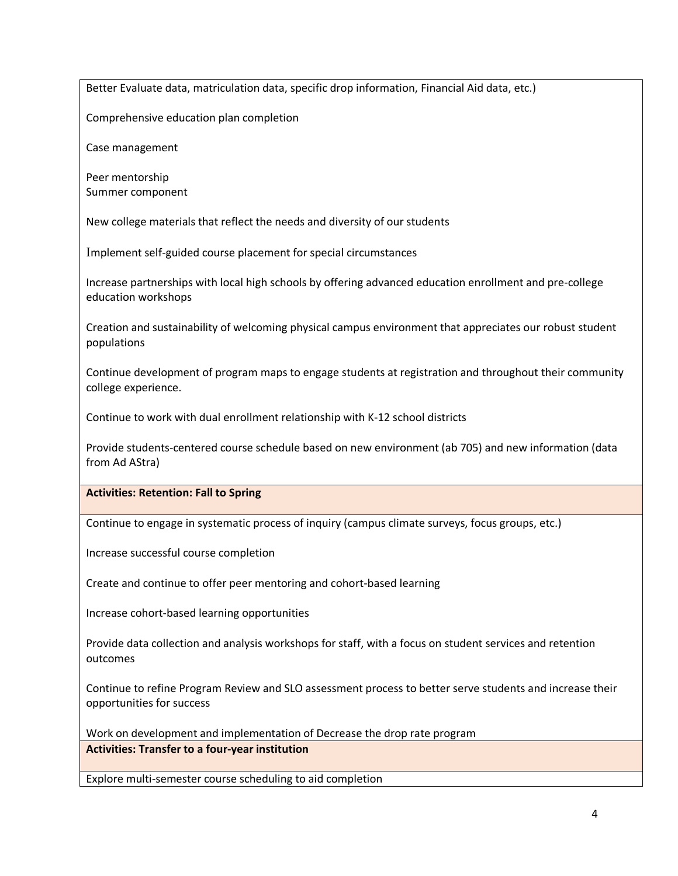Better Evaluate data, matriculation data, specific drop information, Financial Aid data, etc.)

Comprehensive education plan completion

Case management

Peer mentorship Summer component

New college materials that reflect the needs and diversity of our students

Implement self-guided course placement for special circumstances

Increase partnerships with local high schools by offering advanced education enrollment and pre-college education workshops

Creation and sustainability of welcoming physical campus environment that appreciates our robust student populations

Continue development of program maps to engage students at registration and throughout their community college experience.

Continue to work with dual enrollment relationship with K-12 school districts

Provide students-centered course schedule based on new environment (ab 705) and new information (data from Ad AStra)

**Activities: Retention: Fall to Spring**

Continue to engage in systematic process of inquiry (campus climate surveys, focus groups, etc.)

Increase successful course completion

Create and continue to offer peer mentoring and cohort-based learning

Increase cohort-based learning opportunities

Provide data collection and analysis workshops for staff, with a focus on student services and retention outcomes

Continue to refine Program Review and SLO assessment process to better serve students and increase their opportunities for success

Work on development and implementation of Decrease the drop rate program **Activities: Transfer to a four-year institution**

Explore multi-semester course scheduling to aid completion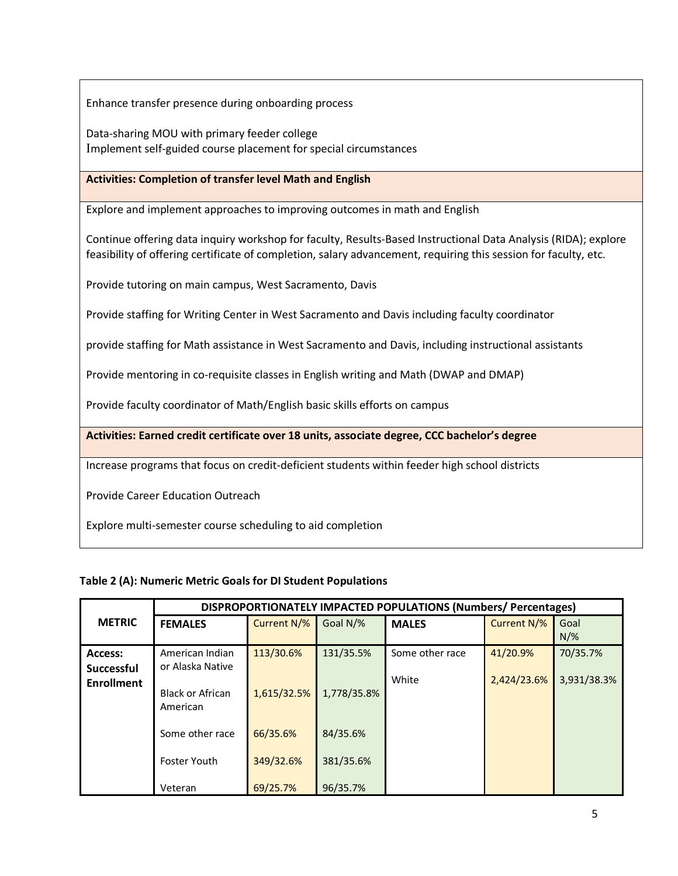Enhance transfer presence during onboarding process

Data-sharing MOU with primary feeder college Implement self-guided course placement for special circumstances

## **Activities: Completion of transfer level Math and English**

Explore and implement approaches to improving outcomes in math and English

Continue offering data inquiry workshop for faculty, Results-Based Instructional Data Analysis (RIDA); explore feasibility of offering certificate of completion, salary advancement, requiring this session for faculty, etc.

Provide tutoring on main campus, West Sacramento, Davis

Provide staffing for Writing Center in West Sacramento and Davis including faculty coordinator

provide staffing for Math assistance in West Sacramento and Davis, including instructional assistants

Provide mentoring in co-requisite classes in English writing and Math (DWAP and DMAP)

Provide faculty coordinator of Math/English basic skills efforts on campus

**Activities: Earned credit certificate over 18 units, associate degree, CCC bachelor's degree**

Increase programs that focus on credit-deficient students within feeder high school districts

Provide Career Education Outreach

Explore multi-semester course scheduling to aid completion

#### **Table 2 (A): Numeric Metric Goals for DI Student Populations**

|                   | DISPROPORTIONATELY IMPACTED POPULATIONS (Numbers/Percentages) |             |             |                 |             |             |
|-------------------|---------------------------------------------------------------|-------------|-------------|-----------------|-------------|-------------|
| <b>METRIC</b>     | <b>FEMALES</b>                                                | Current N/% | Goal N/%    | <b>MALES</b>    | Current N/% | Goal        |
|                   |                                                               |             |             |                 |             | $N/\%$      |
| Access:           | American Indian                                               | 113/30.6%   | 131/35.5%   | Some other race | 41/20.9%    | 70/35.7%    |
| <b>Successful</b> | or Alaska Native                                              |             |             |                 |             |             |
| <b>Enrollment</b> |                                                               |             |             | White           | 2,424/23.6% | 3,931/38.3% |
|                   | <b>Black or African</b>                                       | 1,615/32.5% | 1,778/35.8% |                 |             |             |
|                   | American                                                      |             |             |                 |             |             |
|                   |                                                               |             |             |                 |             |             |
|                   | Some other race                                               | 66/35.6%    | 84/35.6%    |                 |             |             |
|                   | <b>Foster Youth</b>                                           | 349/32.6%   | 381/35.6%   |                 |             |             |
|                   |                                                               |             |             |                 |             |             |
|                   | Veteran                                                       | 69/25.7%    | 96/35.7%    |                 |             |             |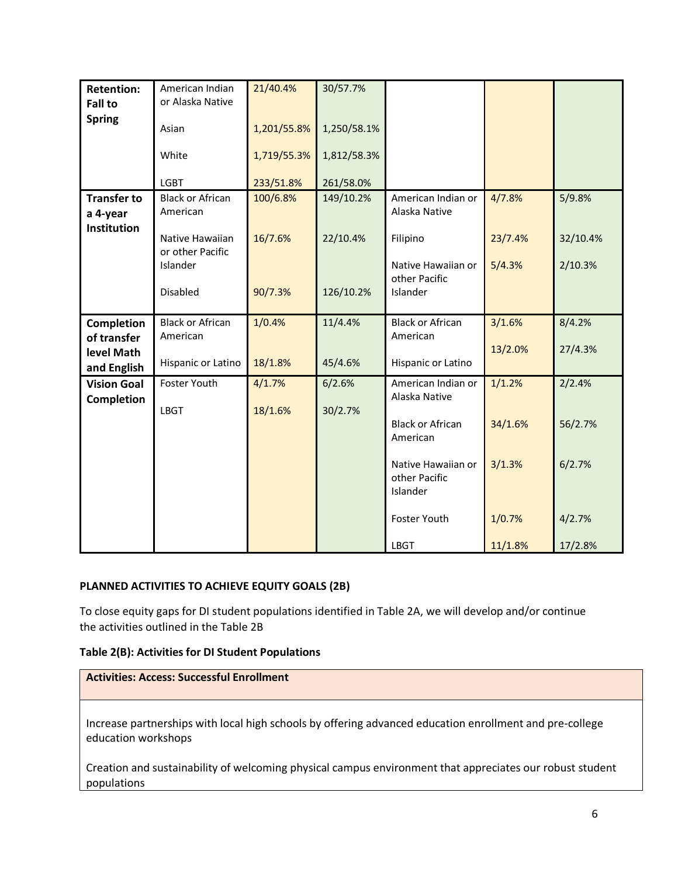| <b>Retention:</b>              | American Indian                     | 21/40.4%    | 30/57.7%    |                                                 |         |          |
|--------------------------------|-------------------------------------|-------------|-------------|-------------------------------------------------|---------|----------|
| <b>Fall to</b>                 | or Alaska Native                    |             |             |                                                 |         |          |
| <b>Spring</b>                  | Asian                               | 1,201/55.8% | 1,250/58.1% |                                                 |         |          |
|                                | White                               | 1,719/55.3% | 1,812/58.3% |                                                 |         |          |
|                                | <b>LGBT</b>                         | 233/51.8%   | 261/58.0%   |                                                 |         |          |
| <b>Transfer to</b><br>a 4-year | <b>Black or African</b><br>American | 100/6.8%    | 149/10.2%   | American Indian or<br>Alaska Native             | 4/7.8%  | 5/9.8%   |
| Institution                    | Native Hawaiian<br>or other Pacific | 16/7.6%     | 22/10.4%    | Filipino                                        | 23/7.4% | 32/10.4% |
|                                | Islander                            |             |             | Native Hawaiian or<br>other Pacific             | 5/4.3%  | 2/10.3%  |
|                                | Disabled                            | 90/7.3%     | 126/10.2%   | Islander                                        |         |          |
| Completion                     | <b>Black or African</b>             | 1/0.4%      | 11/4.4%     | <b>Black or African</b>                         | 3/1.6%  | 8/4.2%   |
| of transfer                    | American                            |             |             | American                                        |         |          |
| level Math<br>and English      | Hispanic or Latino                  | 18/1.8%     | 45/4.6%     | Hispanic or Latino                              | 13/2.0% | 27/4.3%  |
| <b>Vision Goal</b>             | Foster Youth                        | 4/1.7%      | 6/2.6%      | American Indian or                              | 1/1.2%  | 2/2.4%   |
| Completion                     |                                     |             |             | Alaska Native                                   |         |          |
|                                | <b>LBGT</b>                         | 18/1.6%     | 30/2.7%     | <b>Black or African</b><br>American             | 34/1.6% | 56/2.7%  |
|                                |                                     |             |             | Native Hawaiian or<br>other Pacific<br>Islander | 3/1.3%  | 6/2.7%   |
|                                |                                     |             |             | Foster Youth                                    | 1/0.7%  | 4/2.7%   |
|                                |                                     |             |             | <b>LBGT</b>                                     | 11/1.8% | 17/2.8%  |

## **PLANNED ACTIVITIES TO ACHIEVE EQUITY GOALS (2B)**

To close equity gaps for DI student populations identified in Table 2A, we will develop and/or continue the activities outlined in the Table 2B

#### **Table 2(B): Activities for DI Student Populations**

Increase partnerships with local high schools by offering advanced education enrollment and pre-college education workshops

Creation and sustainability of welcoming physical campus environment that appreciates our robust student populations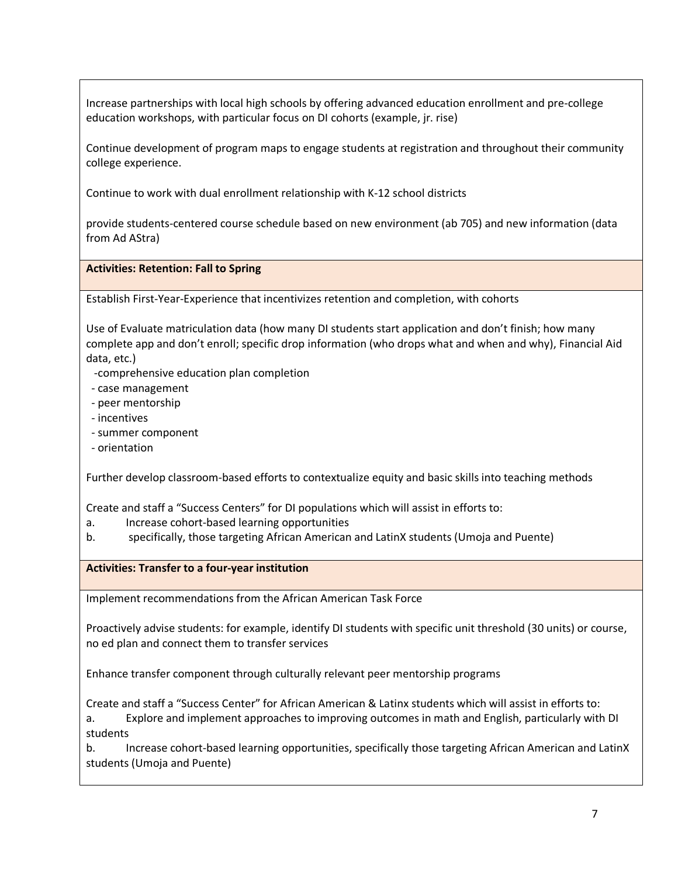Increase partnerships with local high schools by offering advanced education enrollment and pre-college education workshops, with particular focus on DI cohorts (example, jr. rise)

Continue development of program maps to engage students at registration and throughout their community college experience.

Continue to work with dual enrollment relationship with K-12 school districts

provide students-centered course schedule based on new environment (ab 705) and new information (data from Ad AStra)

## **Activities: Retention: Fall to Spring**

Establish First-Year-Experience that incentivizes retention and completion, with cohorts

Use of Evaluate matriculation data (how many DI students start application and don't finish; how many complete app and don't enroll; specific drop information (who drops what and when and why), Financial Aid data, etc.)

-comprehensive education plan completion

- case management
- peer mentorship
- incentives
- summer component
- orientation

Further develop classroom-based efforts to contextualize equity and basic skills into teaching methods

Create and staff a "Success Centers" for DI populations which will assist in efforts to:

- a. Increase cohort-based learning opportunities
- b. specifically, those targeting African American and LatinX students (Umoja and Puente)

**Activities: Transfer to a four-year institution**

Implement recommendations from the African American Task Force

Proactively advise students: for example, identify DI students with specific unit threshold (30 units) or course, no ed plan and connect them to transfer services

Enhance transfer component through culturally relevant peer mentorship programs

Create and staff a "Success Center" for African American & Latinx students which will assist in efforts to:

a. Explore and implement approaches to improving outcomes in math and English, particularly with DI students

b. Increase cohort-based learning opportunities, specifically those targeting African American and LatinX students (Umoja and Puente)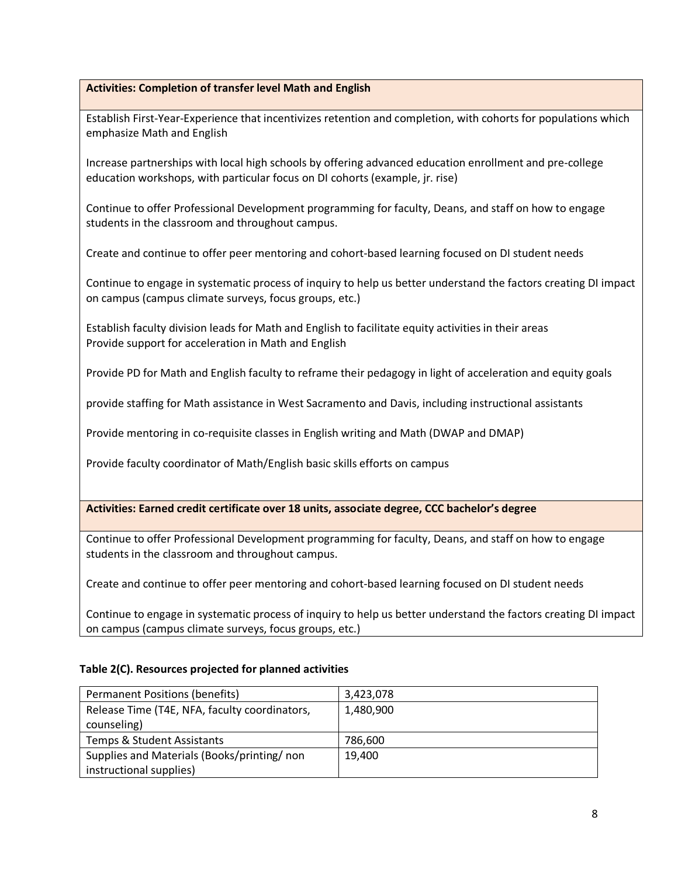## **Activities: Completion of transfer level Math and English**

Establish First-Year-Experience that incentivizes retention and completion, with cohorts for populations which emphasize Math and English

Increase partnerships with local high schools by offering advanced education enrollment and pre-college education workshops, with particular focus on DI cohorts (example, jr. rise)

Continue to offer Professional Development programming for faculty, Deans, and staff on how to engage students in the classroom and throughout campus.

Create and continue to offer peer mentoring and cohort-based learning focused on DI student needs

Continue to engage in systematic process of inquiry to help us better understand the factors creating DI impact on campus (campus climate surveys, focus groups, etc.)

Establish faculty division leads for Math and English to facilitate equity activities in their areas Provide support for acceleration in Math and English

Provide PD for Math and English faculty to reframe their pedagogy in light of acceleration and equity goals

provide staffing for Math assistance in West Sacramento and Davis, including instructional assistants

Provide mentoring in co-requisite classes in English writing and Math (DWAP and DMAP)

Provide faculty coordinator of Math/English basic skills efforts on campus

**Activities: Earned credit certificate over 18 units, associate degree, CCC bachelor's degree**

Continue to offer Professional Development programming for faculty, Deans, and staff on how to engage students in the classroom and throughout campus.

Create and continue to offer peer mentoring and cohort-based learning focused on DI student needs

Continue to engage in systematic process of inquiry to help us better understand the factors creating DI impact on campus (campus climate surveys, focus groups, etc.)

#### **Table 2(C). Resources projected for planned activities**

| <b>Permanent Positions (benefits)</b>         | 3,423,078 |
|-----------------------------------------------|-----------|
| Release Time (T4E, NFA, faculty coordinators, | 1,480,900 |
| counseling)                                   |           |
| Temps & Student Assistants                    | 786,600   |
| Supplies and Materials (Books/printing/non    | 19.400    |
| instructional supplies)                       |           |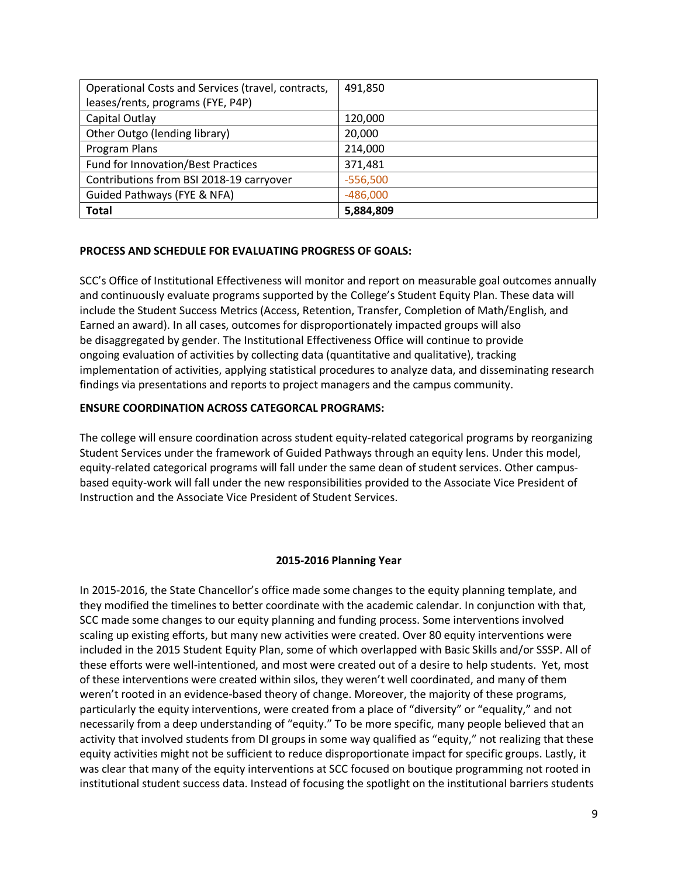| Operational Costs and Services (travel, contracts, | 491,850    |
|----------------------------------------------------|------------|
| leases/rents, programs (FYE, P4P)                  |            |
| Capital Outlay                                     | 120,000    |
| Other Outgo (lending library)                      | 20,000     |
| Program Plans                                      | 214,000    |
| <b>Fund for Innovation/Best Practices</b>          | 371,481    |
| Contributions from BSI 2018-19 carryover           | $-556,500$ |
| Guided Pathways (FYE & NFA)                        | $-486,000$ |
| <b>Total</b>                                       | 5,884,809  |

#### **PROCESS AND SCHEDULE FOR EVALUATING PROGRESS OF GOALS:**

SCC's Office of Institutional Effectiveness will monitor and report on measurable goal outcomes annually and continuously evaluate programs supported by the College's Student Equity Plan. These data will include the Student Success Metrics (Access, Retention, Transfer, Completion of Math/English, and Earned an award). In all cases, outcomes for disproportionately impacted groups will also be disaggregated by gender. The Institutional Effectiveness Office will continue to provide ongoing evaluation of activities by collecting data (quantitative and qualitative), tracking implementation of activities, applying statistical procedures to analyze data, and disseminating research findings via presentations and reports to project managers and the campus community.

#### **ENSURE COORDINATION ACROSS CATEGORCAL PROGRAMS:**

The college will ensure coordination across student equity-related categorical programs by reorganizing Student Services under the framework of Guided Pathways through an equity lens. Under this model, equity-related categorical programs will fall under the same dean of student services. Other campusbased equity-work will fall under the new responsibilities provided to the Associate Vice President of Instruction and the Associate Vice President of Student Services.

#### **2015-2016 Planning Year**

In 2015-2016, the State Chancellor's office made some changes to the equity planning template, and they modified the timelines to better coordinate with the academic calendar. In conjunction with that, SCC made some changes to our equity planning and funding process. Some interventions involved scaling up existing efforts, but many new activities were created. Over 80 equity interventions were included in the 2015 Student Equity Plan, some of which overlapped with Basic Skills and/or SSSP. All of these efforts were well-intentioned, and most were created out of a desire to help students. Yet, most of these interventions were created within silos, they weren't well coordinated, and many of them weren't rooted in an evidence-based theory of change. Moreover, the majority of these programs, particularly the equity interventions, were created from a place of "diversity" or "equality," and not necessarily from a deep understanding of "equity." To be more specific, many people believed that an activity that involved students from DI groups in some way qualified as "equity," not realizing that these equity activities might not be sufficient to reduce disproportionate impact for specific groups. Lastly, it was clear that many of the equity interventions at SCC focused on boutique programming not rooted in institutional student success data. Instead of focusing the spotlight on the institutional barriers students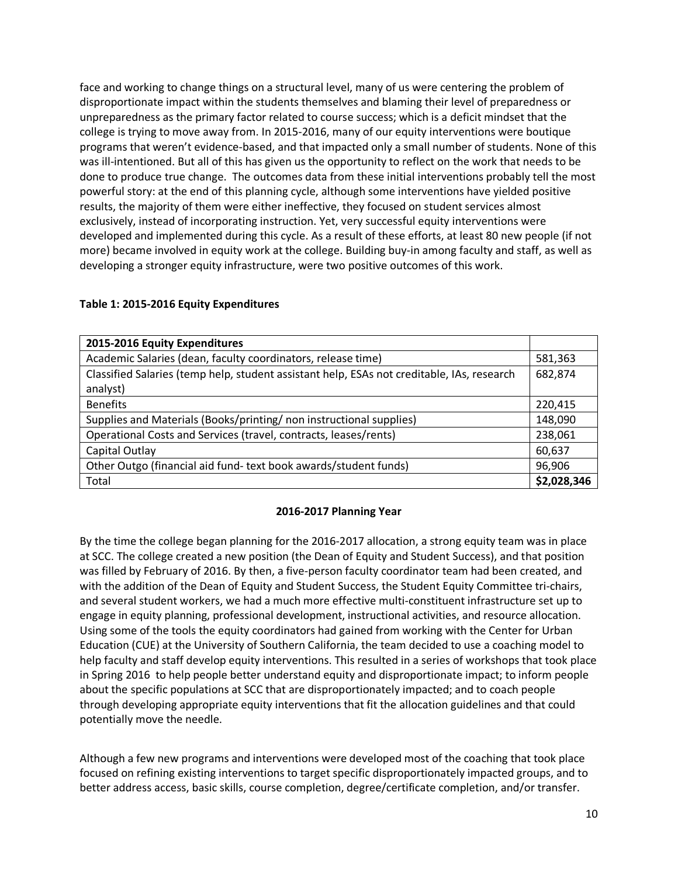face and working to change things on a structural level, many of us were centering the problem of disproportionate impact within the students themselves and blaming their level of preparedness or unpreparedness as the primary factor related to course success; which is a deficit mindset that the college is trying to move away from. In 2015-2016, many of our equity interventions were boutique programs that weren't evidence-based, and that impacted only a small number of students. None of this was ill-intentioned. But all of this has given us the opportunity to reflect on the work that needs to be done to produce true change. The outcomes data from these initial interventions probably tell the most powerful story: at the end of this planning cycle, although some interventions have yielded positive results, the majority of them were either ineffective, they focused on student services almost exclusively, instead of incorporating instruction. Yet, very successful equity interventions were developed and implemented during this cycle. As a result of these efforts, at least 80 new people (if not more) became involved in equity work at the college. Building buy-in among faculty and staff, as well as developing a stronger equity infrastructure, were two positive outcomes of this work.

| 2015-2016 Equity Expenditures                                                              |             |
|--------------------------------------------------------------------------------------------|-------------|
| Academic Salaries (dean, faculty coordinators, release time)                               | 581,363     |
| Classified Salaries (temp help, student assistant help, ESAs not creditable, IAs, research | 682,874     |
| analyst)                                                                                   |             |
| <b>Benefits</b>                                                                            | 220,415     |
| Supplies and Materials (Books/printing/non instructional supplies)                         | 148,090     |
| Operational Costs and Services (travel, contracts, leases/rents)                           | 238,061     |
| Capital Outlay                                                                             | 60,637      |
| Other Outgo (financial aid fund-text book awards/student funds)                            | 96,906      |
| Total                                                                                      | \$2,028,346 |

#### **Table 1: 2015-2016 Equity Expenditures**

#### **2016-2017 Planning Year**

By the time the college began planning for the 2016-2017 allocation, a strong equity team was in place at SCC. The college created a new position (the Dean of Equity and Student Success), and that position was filled by February of 2016. By then, a five-person faculty coordinator team had been created, and with the addition of the Dean of Equity and Student Success, the Student Equity Committee tri-chairs, and several student workers, we had a much more effective multi-constituent infrastructure set up to engage in equity planning, professional development, instructional activities, and resource allocation. Using some of the tools the equity coordinators had gained from working with the Center for Urban Education (CUE) at the University of Southern California, the team decided to use a coaching model to help faculty and staff develop equity interventions. This resulted in a series of workshops that took place in Spring 2016 to help people better understand equity and disproportionate impact; to inform people about the specific populations at SCC that are disproportionately impacted; and to coach people through developing appropriate equity interventions that fit the allocation guidelines and that could potentially move the needle.

Although a few new programs and interventions were developed most of the coaching that took place focused on refining existing interventions to target specific disproportionately impacted groups, and to better address access, basic skills, course completion, degree/certificate completion, and/or transfer.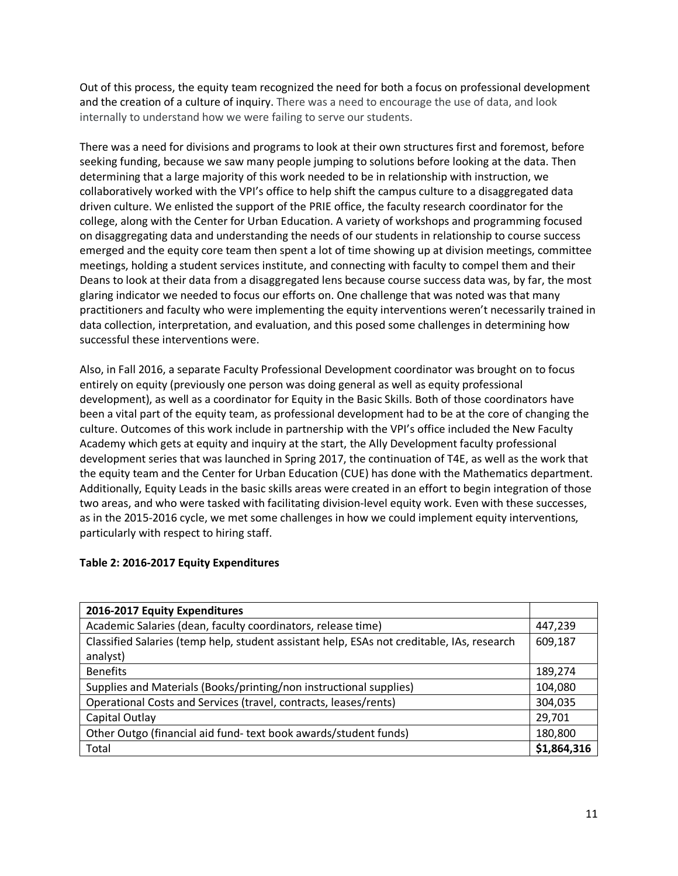Out of this process, the equity team recognized the need for both a focus on professional development and the creation of a culture of inquiry. There was a need to encourage the use of data, and look internally to understand how we were failing to serve our students.

There was a need for divisions and programs to look at their own structures first and foremost, before seeking funding, because we saw many people jumping to solutions before looking at the data. Then determining that a large majority of this work needed to be in relationship with instruction, we collaboratively worked with the VPI's office to help shift the campus culture to a disaggregated data driven culture. We enlisted the support of the PRIE office, the faculty research coordinator for the college, along with the Center for Urban Education. A variety of workshops and programming focused on disaggregating data and understanding the needs of our students in relationship to course success emerged and the equity core team then spent a lot of time showing up at division meetings, committee meetings, holding a student services institute, and connecting with faculty to compel them and their Deans to look at their data from a disaggregated lens because course success data was, by far, the most glaring indicator we needed to focus our efforts on. One challenge that was noted was that many practitioners and faculty who were implementing the equity interventions weren't necessarily trained in data collection, interpretation, and evaluation, and this posed some challenges in determining how successful these interventions were.

Also, in Fall 2016, a separate Faculty Professional Development coordinator was brought on to focus entirely on equity (previously one person was doing general as well as equity professional development), as well as a coordinator for Equity in the Basic Skills. Both of those coordinators have been a vital part of the equity team, as professional development had to be at the core of changing the culture. Outcomes of this work include in partnership with the VPI's office included the New Faculty Academy which gets at equity and inquiry at the start, the Ally Development faculty professional development series that was launched in Spring 2017, the continuation of T4E, as well as the work that the equity team and the Center for Urban Education (CUE) has done with the Mathematics department. Additionally, Equity Leads in the basic skills areas were created in an effort to begin integration of those two areas, and who were tasked with facilitating division-level equity work. Even with these successes, as in the 2015-2016 cycle, we met some challenges in how we could implement equity interventions, particularly with respect to hiring staff.

#### **Table 2: 2016-2017 Equity Expenditures**

| 2016-2017 Equity Expenditures                                                              |             |
|--------------------------------------------------------------------------------------------|-------------|
| Academic Salaries (dean, faculty coordinators, release time)                               | 447,239     |
| Classified Salaries (temp help, student assistant help, ESAs not creditable, IAs, research | 609,187     |
| analyst)                                                                                   |             |
| <b>Benefits</b>                                                                            | 189,274     |
| Supplies and Materials (Books/printing/non instructional supplies)                         | 104,080     |
| Operational Costs and Services (travel, contracts, leases/rents)                           |             |
| Capital Outlay                                                                             | 29,701      |
| Other Outgo (financial aid fund-text book awards/student funds)                            | 180,800     |
| Total                                                                                      | \$1,864,316 |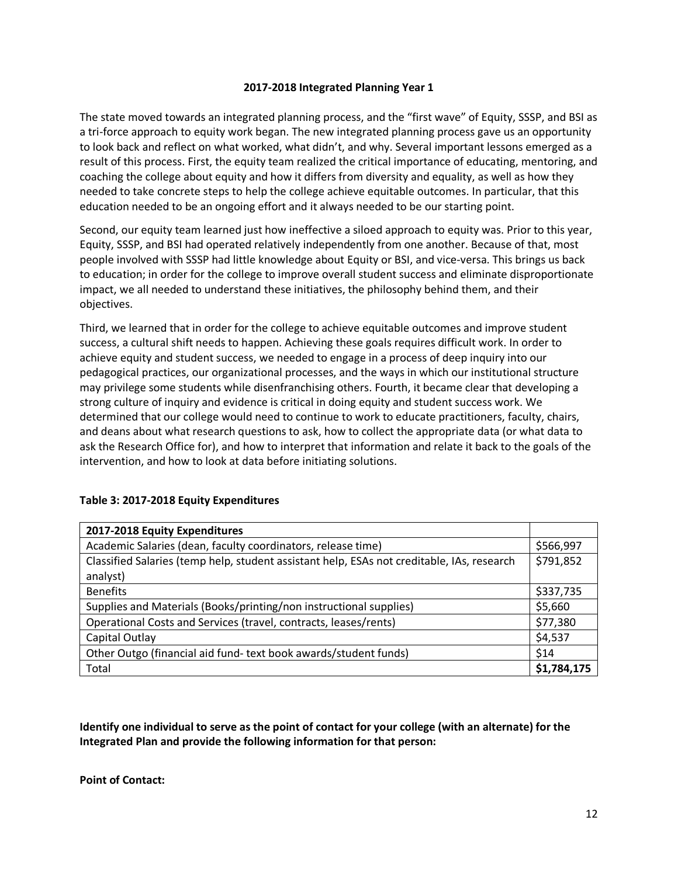#### **2017-2018 Integrated Planning Year 1**

The state moved towards an integrated planning process, and the "first wave" of Equity, SSSP, and BSI as a tri-force approach to equity work began. The new integrated planning process gave us an opportunity to look back and reflect on what worked, what didn't, and why. Several important lessons emerged as a result of this process. First, the equity team realized the critical importance of educating, mentoring, and coaching the college about equity and how it differs from diversity and equality, as well as how they needed to take concrete steps to help the college achieve equitable outcomes. In particular, that this education needed to be an ongoing effort and it always needed to be our starting point.

Second, our equity team learned just how ineffective a siloed approach to equity was. Prior to this year, Equity, SSSP, and BSI had operated relatively independently from one another. Because of that, most people involved with SSSP had little knowledge about Equity or BSI, and vice-versa. This brings us back to education; in order for the college to improve overall student success and eliminate disproportionate impact, we all needed to understand these initiatives, the philosophy behind them, and their objectives.

Third, we learned that in order for the college to achieve equitable outcomes and improve student success, a cultural shift needs to happen. Achieving these goals requires difficult work. In order to achieve equity and student success, we needed to engage in a process of deep inquiry into our pedagogical practices, our organizational processes, and the ways in which our institutional structure may privilege some students while disenfranchising others. Fourth, it became clear that developing a strong culture of inquiry and evidence is critical in doing equity and student success work. We determined that our college would need to continue to work to educate practitioners, faculty, chairs, and deans about what research questions to ask, how to collect the appropriate data (or what data to ask the Research Office for), and how to interpret that information and relate it back to the goals of the intervention, and how to look at data before initiating solutions.

| 2017-2018 Equity Expenditures                                                                          |             |
|--------------------------------------------------------------------------------------------------------|-------------|
| Academic Salaries (dean, faculty coordinators, release time)                                           | \$566,997   |
| Classified Salaries (temp help, student assistant help, ESAs not creditable, IAs, research<br>analyst) | \$791,852   |
| <b>Benefits</b>                                                                                        | \$337,735   |
| Supplies and Materials (Books/printing/non instructional supplies)                                     | \$5,660     |
| Operational Costs and Services (travel, contracts, leases/rents)                                       | \$77,380    |
| Capital Outlay                                                                                         | \$4,537     |
| Other Outgo (financial aid fund-text book awards/student funds)                                        | \$14        |
| Total                                                                                                  | \$1,784,175 |

#### **Table 3: 2017-2018 Equity Expenditures**

**Identify one individual to serve as the point of contact for your college (with an alternate) for the Integrated Plan and provide the following information for that person:** 

**Point of Contact:**